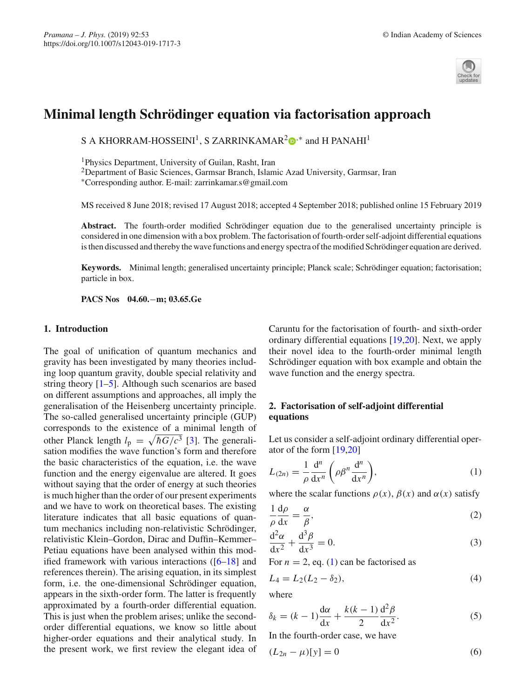

# **Minimal length Schrödinger equation via factorisation approach**

S A KHORRAM-HOSSEINI<sup>1</sup>[,](http://orcid.org/0000-0001-9128-4624) S ZARRINKAMAR<sup>2</sup> $\Phi$ <sup>,\*</sup> and H PANAHI<sup>1</sup>

1Physics Department, University of Guilan, Rasht, Iran

2Department of Basic Sciences, Garmsar Branch, Islamic Azad University, Garmsar, Iran

∗Corresponding author. E-mail: zarrinkamar.s@gmail.com

MS received 8 June 2018; revised 17 August 2018; accepted 4 September 2018; published online 15 February 2019

**Abstract.** The fourth-order modified Schrödinger equation due to the generalised uncertainty principle is considered in one dimension with a box problem. The factorisation of fourth-order self-adjoint differential equations is then discussed and thereby the wave functions and energy spectra of the modified Schrödinger equation are derived.

**Keywords.** Minimal length; generalised uncertainty principle; Planck scale; Schrödinger equation; factorisation; particle in box.

**PACS Nos 04.60.**−**m; 03.65.Ge**

#### **1. Introduction**

The goal of unification of quantum mechanics and gravity has been investigated by many theories including loop quantum gravity, double special relativity and string theory  $[1-5]$  $[1-5]$ . Although such scenarios are based on different assumptions and approaches, all imply the generalisation of the Heisenberg uncertainty principle. The so-called generalised uncertainty principle (GUP) corresponds to the existence of a minimal length of other Planck length  $l_p = \sqrt{\hbar G/c^3}$  [\[3](#page-2-2)]. The generalisation modifies the wave function's form and therefore the basic characteristics of the equation, i.e. the wave function and the energy eigenvalue are altered. It goes without saying that the order of energy at such theories is much higher than the order of our present experiments and we have to work on theoretical bases. The existing literature indicates that all basic equations of quantum mechanics including non-relativistic Schrödinger, relativistic Klein–Gordon, Dirac and Duffin–Kemmer– Petiau equations have been analysed within this modified framework with various interactions  $([6-18]$  $([6-18]$  $([6-18]$  and references therein). The arising equation, in its simplest form, i.e. the one-dimensional Schrödinger equation, appears in the sixth-order form. The latter is frequently approximated by a fourth-order differential equation. This is just when the problem arises; unlike the secondorder differential equations, we know so little about higher-order equations and their analytical study. In the present work, we first review the elegant idea of

Caruntu for the factorisation of fourth- and sixth-order ordinary differential equations [\[19](#page-2-5)[,20](#page-2-6)]. Next, we apply their novel idea to the fourth-order minimal length Schrödinger equation with box example and obtain the wave function and the energy spectra.

# **2. Factorisation of self-adjoint differential equations**

Let us consider a self-adjoint ordinary differential operator of the form [\[19](#page-2-5)[,20\]](#page-2-6)

<span id="page-0-0"></span>
$$
L_{(2n)} = \frac{1}{\rho} \frac{d^n}{dx^n} \left( \rho \beta^n \frac{d^n}{dx^n} \right),\tag{1}
$$

where the scalar functions  $\rho(x)$ ,  $\beta(x)$  and  $\alpha(x)$  satisfy

$$
\frac{1}{\rho} \frac{d\rho}{dx} = \frac{\alpha}{\beta},\tag{2}
$$

$$
\frac{\mathrm{d}^2\alpha}{\mathrm{d}x^2} + \frac{\mathrm{d}^3\beta}{\mathrm{d}x^3} = 0.
$$
 (3)

For  $n = 2$ , eq. [\(1\)](#page-0-0) can be factorised as

<span id="page-0-2"></span>
$$
L_4 = L_2(L_2 - \delta_2),
$$
\n(4)

where

$$
\delta_k = (k-1)\frac{\mathrm{d}\alpha}{\mathrm{d}x} + \frac{k(k-1)}{2}\frac{\mathrm{d}^2\beta}{\mathrm{d}x^2}.
$$
 (5)

In the fourth-order case, we have

<span id="page-0-1"></span>
$$
(L_{2n} - \mu)[y] = 0 \tag{6}
$$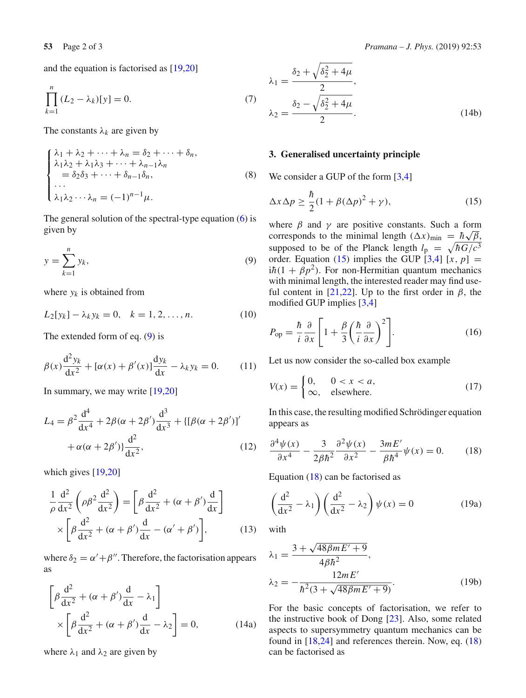and the equation is factorised as [\[19](#page-2-5)[,20\]](#page-2-6)

$$
\prod_{k=1}^{n} (L_2 - \lambda_k)[y] = 0.
$$
 (7)

The constants  $\lambda_k$  are given by

$$
\begin{cases} \lambda_1 + \lambda_2 + \dots + \lambda_n = \delta_2 + \dots + \delta_n, \\ \lambda_1 \lambda_2 + \lambda_1 \lambda_3 + \dots + \lambda_{n-1} \lambda_n \\ = \delta_2 \delta_3 + \dots + \delta_{n-1} \delta_n, \\ \dots \\ \lambda_1 \lambda_2 \dots \lambda_n = (-1)^{n-1} \mu. \end{cases} \tag{8}
$$

The general solution of the spectral-type equation  $(6)$  is given by

<span id="page-1-0"></span>
$$
y = \sum_{k=1}^{n} y_k,\tag{9}
$$

where  $y_k$  is obtained from

$$
L_2[y_k] - \lambda_k y_k = 0, \quad k = 1, 2, \dots, n. \tag{10}
$$

The extended form of eq. [\(9\)](#page-1-0) is

$$
\beta(x)\frac{\mathrm{d}^2 y_k}{\mathrm{d}x^2} + [\alpha(x) + \beta'(x)]\frac{\mathrm{d}y_k}{\mathrm{d}x} - \lambda_k y_k = 0. \tag{11}
$$

In summary, we may write  $[19,20]$  $[19,20]$ 

$$
L_4 = \beta^2 \frac{d^4}{dx^4} + 2\beta(\alpha + 2\beta') \frac{d^3}{dx^3} + \{[\beta(\alpha + 2\beta')]'
$$
  
 
$$
+ \alpha(\alpha + 2\beta')\frac{d^2}{dx^2},
$$
 (12)

which gives [\[19](#page-2-5)[,20\]](#page-2-6)

$$
\frac{1}{\rho} \frac{d^2}{dx^2} \left( \rho \beta^2 \frac{d^2}{dx^2} \right) = \left[ \beta \frac{d^2}{dx^2} + (\alpha + \beta') \frac{d}{dx} \right]
$$

$$
\times \left[ \beta \frac{d^2}{dx^2} + (\alpha + \beta') \frac{d}{dx} - (\alpha' + \beta') \right],
$$
(13)

where  $\delta_2 = \alpha' + \beta''$ . Therefore, the factorisation appears as

$$
\left[\beta \frac{d^2}{dx^2} + (\alpha + \beta') \frac{d}{dx} - \lambda_1\right] \times \left[\beta \frac{d^2}{dx^2} + (\alpha + \beta') \frac{d}{dx} - \lambda_2\right] = 0,
$$
 (14a)

where  $\lambda_1$  and  $\lambda_2$  are given by

$$
\lambda_1 = \frac{\delta_2 + \sqrt{\delta_2^2 + 4\mu}}{2},
$$
  
\n
$$
\lambda_2 = \frac{\delta_2 - \sqrt{\delta_2^2 + 4\mu}}{2}.
$$
\n(14b)

## **3. Generalised uncertainty principle**

We consider a GUP of the form [\[3](#page-2-2)[,4](#page-2-7)]

<span id="page-1-1"></span>
$$
\Delta x \Delta p \ge \frac{\hbar}{2} (1 + \beta (\Delta p)^2 + \gamma),\tag{15}
$$

where  $\beta$  and  $\gamma$  are positive constants. Such a form corresponds to the minimal length  $(\Delta x)_{\text{min}} = \hbar \sqrt{\beta}$ , supposed to be of the Planck length  $l_p = \sqrt{\hbar G/c^3}$ order. Equation [\(15\)](#page-1-1) implies the GUP  $[3,4]$  $[3,4]$   $[x, p] =$  $i\hbar(1 + \beta p^2)$ . For non-Hermitian quantum mechanics with minimal length, the interested reader may find use-ful content in [\[21](#page-2-8)[,22](#page-2-9)]. Up to the first order in  $\beta$ , the modified GUP implies [\[3](#page-2-2)[,4](#page-2-7)]

$$
P_{\rm op} = \frac{\hbar}{i} \frac{\partial}{\partial x} \left[ 1 + \frac{\beta}{3} \left( \frac{\hbar}{i} \frac{\partial}{\partial x} \right)^2 \right]. \tag{16}
$$

Let us now consider the so-called box example

$$
V(x) = \begin{cases} 0, & 0 < x < a, \\ \infty, & \text{elsewhere.} \end{cases}
$$
 (17)

In this case, the resulting modified Schrödinger equation appears as

<span id="page-1-2"></span>
$$
\frac{\partial^4 \psi(x)}{\partial x^4} - \frac{3}{2\beta \hbar^2} \frac{\partial^2 \psi(x)}{\partial x^2} - \frac{3mE'}{\beta \hbar^4} \psi(x) = 0.
$$
 (18)

Equation  $(18)$  can be factorised as

$$
\left(\frac{d^2}{dx^2} - \lambda_1\right) \left(\frac{d^2}{dx^2} - \lambda_2\right) \psi(x) = 0 \tag{19a}
$$

with

$$
\lambda_1 = \frac{3 + \sqrt{48\beta m E' + 9}}{4\beta \hbar^2},
$$
  
\n
$$
\lambda_2 = -\frac{12m E'}{\hbar^2 (3 + \sqrt{48\beta m E' + 9})}.
$$
\n(19b)

For the basic concepts of factorisation, we refer to the instructive book of Dong [\[23\]](#page-2-10). Also, some related aspects to supersymmetry quantum mechanics can be found in [\[18](#page-2-4)[,24\]](#page-2-11) and references therein. Now, eq. [\(18\)](#page-1-2) can be factorised as